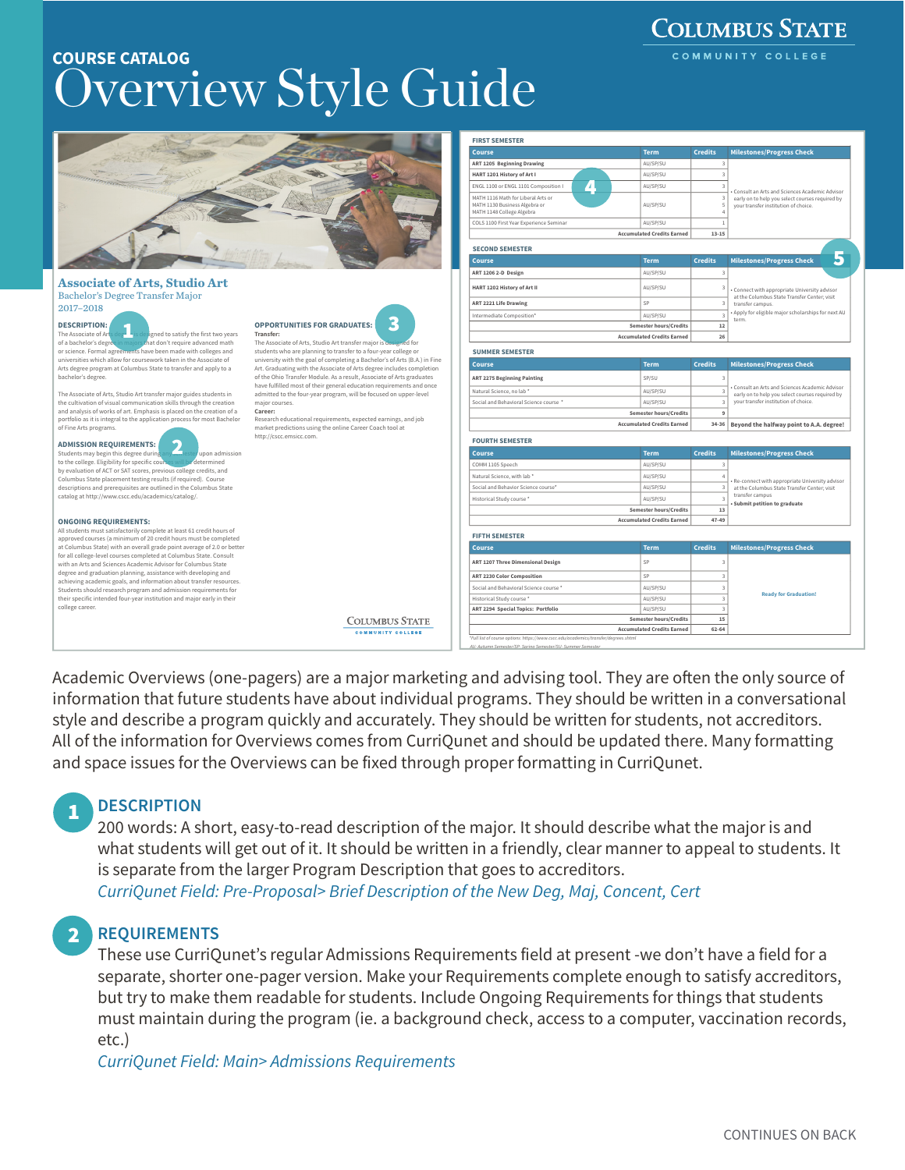# verview Style Guide COURSE CATALOG

|                                                                                                                                                   |                                                                                                                                               | <b>FIRST SEMESTER</b>                                                                                                                               |                                   |                              |                                                                                                                                          |  |
|---------------------------------------------------------------------------------------------------------------------------------------------------|-----------------------------------------------------------------------------------------------------------------------------------------------|-----------------------------------------------------------------------------------------------------------------------------------------------------|-----------------------------------|------------------------------|------------------------------------------------------------------------------------------------------------------------------------------|--|
|                                                                                                                                                   |                                                                                                                                               | Course                                                                                                                                              | <b>Term</b>                       | <b>Credits</b>               | <b>Milestones/Progress Check</b>                                                                                                         |  |
|                                                                                                                                                   |                                                                                                                                               | <b>ART 1205 Beginning Drawing</b>                                                                                                                   | AU/SP/SU                          | $\overline{\mathbf{3}}$      |                                                                                                                                          |  |
|                                                                                                                                                   |                                                                                                                                               | HART 1201 History of Art I                                                                                                                          | AU/SP/SU                          | $\overline{3}$               |                                                                                                                                          |  |
|                                                                                                                                                   |                                                                                                                                               | $\mu$<br>ENGL 1100 or ENGL 1101 Composition I                                                                                                       | AU/SP/SU                          |                              |                                                                                                                                          |  |
|                                                                                                                                                   |                                                                                                                                               | MATH 1116 Math for Liberal Arts or<br>MATH 1130 Business Algebra or<br>MATH 1148 College Algebra                                                    | AU/SP/SU                          | $\overline{\mathbf{3}}$<br>5 | Consult an Arts and Sciences Academic Advisor<br>early on to help you select courses required by<br>vour transfer institution of choice. |  |
|                                                                                                                                                   |                                                                                                                                               | COLS 1100 First Year Experience Seminar                                                                                                             | AU/SP/SU                          |                              |                                                                                                                                          |  |
|                                                                                                                                                   |                                                                                                                                               |                                                                                                                                                     | <b>Accumulated Credits Earned</b> | $13 - 15$                    |                                                                                                                                          |  |
|                                                                                                                                                   | <b>SECOND SEMESTER</b>                                                                                                                        |                                                                                                                                                     |                                   |                              |                                                                                                                                          |  |
|                                                                                                                                                   |                                                                                                                                               | Course                                                                                                                                              | <b>Term</b>                       | <b>Credits</b>               | 5<br><b>Milestones/Progress Check</b>                                                                                                    |  |
|                                                                                                                                                   |                                                                                                                                               | ART 1206 2-D Design                                                                                                                                 | AU/SP/SU                          |                              |                                                                                                                                          |  |
| <b>Associate of Arts, Studio Art</b>                                                                                                              |                                                                                                                                               | HART 1202 History of Art II                                                                                                                         | AU/SP/SU                          | 3                            | · Connect with appropriate University advisor                                                                                            |  |
| Bachelor's Degree Transfer Major                                                                                                                  |                                                                                                                                               | <b>ART 2221 Life Drawing</b>                                                                                                                        | SP                                |                              | at the Columbus State Transfer Center; visit<br>transfer campus.                                                                         |  |
| 2017-2018                                                                                                                                         |                                                                                                                                               | Intermediate Composition*                                                                                                                           | AU/SP/SU                          | $\overline{a}$               | Apply for eligible major scholarships for next AU                                                                                        |  |
| <b>DESCRIPTION:</b>                                                                                                                               | B<br><b>OPPORTUNITIES FOR GRADUATES:</b>                                                                                                      |                                                                                                                                                     | <b>Semester hours/Credits</b>     | 12                           | term                                                                                                                                     |  |
| The Associate of Art<br>signed to satisfy the first two years                                                                                     | Transfer:                                                                                                                                     |                                                                                                                                                     | <b>Accumulated Credits Earned</b> | 26                           |                                                                                                                                          |  |
| of a bachelor's degree in majors that don't require advanced math<br>or science. Formal agreements have been made with colleges and               | The Associate of Arts, Studio Art transfer major is designed for<br>students who are planning to transfer to a four-year college or           | <b>SUMMER SEMESTER</b>                                                                                                                              |                                   |                              |                                                                                                                                          |  |
| universities which allow for coursework taken in the Associate of                                                                                 | university with the goal of completing a Bachelor's of Arts (B.A.) in Fine                                                                    |                                                                                                                                                     |                                   |                              |                                                                                                                                          |  |
| Arts degree program at Columbus State to transfer and apply to a                                                                                  | Art. Graduating with the Associate of Arts degree includes completion                                                                         | <b>Course</b>                                                                                                                                       | <b>Term</b>                       | <b>Credits</b>               | <b>Milestones/Progress Check</b>                                                                                                         |  |
| bachelor's degree.                                                                                                                                | of the Ohio Transfer Module. As a result, Associate of Arts graduates<br>have fulfilled most of their general education requirements and once | <b>ART 2275 Beginning Painting</b>                                                                                                                  | SP/SU                             |                              |                                                                                                                                          |  |
| The Associate of Arts, Studio Art transfer major guides students in                                                                               | admitted to the four-year program, will be focused on upper-level                                                                             | Natural Science, no lab '                                                                                                                           | AU/SP/SU                          | $\overline{a}$               | Consult an Arts and Sciences Academic Advisor<br>early on to help you select courses required by                                         |  |
| the cultivation of visual communication skills through the creation                                                                               | major courses.                                                                                                                                | Social and Behavioral Science course '                                                                                                              | AU/SP/SU                          |                              | vour transfer institution of choice.                                                                                                     |  |
| and analysis of works of art. Emphasis is placed on the creation of a<br>portfolio as it is integral to the application process for most Bachelor | Career:<br>Research educational requirements, expected earnings, and job                                                                      |                                                                                                                                                     | <b>Semester hours/Credits</b>     | 9                            |                                                                                                                                          |  |
| of Fine Arts programs.                                                                                                                            | market predictions using the online Career Coach tool at                                                                                      |                                                                                                                                                     | <b>Accumulated Credits Earned</b> | $34 - 36$                    | Beyond the halfway point to A.A. degree!                                                                                                 |  |
| <b>ADMISSION REQUIREMENTS:</b>                                                                                                                    | http://cscc.emsicc.com.                                                                                                                       | <b>FOURTH SEMESTER</b>                                                                                                                              |                                   |                              |                                                                                                                                          |  |
| $\mathbf{2}$<br>Students may begin this degree during<br>upon admission                                                                           |                                                                                                                                               | <b>Course</b>                                                                                                                                       | <b>Term</b>                       | <b>Credits</b>               | <b>Milestones/Progress Check</b>                                                                                                         |  |
| to the college. Eligibility for specific course<br>e determined                                                                                   |                                                                                                                                               | COMM 1105 Speech                                                                                                                                    | AU/SP/SU                          |                              |                                                                                                                                          |  |
| by evaluation of ACT or SAT scores, previous college credits, and<br>Columbus State placement testing results (if required). Course               |                                                                                                                                               | Natural Science, with lab *                                                                                                                         | AU/SP/SU                          |                              |                                                                                                                                          |  |
| descriptions and prerequisites are outlined in the Columbus State                                                                                 |                                                                                                                                               | Social and Behavior Science course*                                                                                                                 | AU/SP/SU                          | $\overline{\mathbf{3}}$      | Re-connect with appropriate University advisor<br>at the Columbus State Transfer Center; visit                                           |  |
| catalog at http://www.cscc.edu/academics/catalog/.                                                                                                |                                                                                                                                               | Historical Study course "                                                                                                                           | AU/SP/SU                          |                              | transfer campus<br>Submit petition to graduate                                                                                           |  |
|                                                                                                                                                   |                                                                                                                                               |                                                                                                                                                     | Semester hours/Credits            | 13                           |                                                                                                                                          |  |
| <b>ONGOING REQUIREMENTS:</b>                                                                                                                      |                                                                                                                                               |                                                                                                                                                     | <b>Accumulated Credits Earned</b> | $47 - 49$                    |                                                                                                                                          |  |
| All students must satisfactorily complete at least 61 credit hours of<br>approved courses (a minimum of 20 credit hours must be completed         |                                                                                                                                               | <b>FIFTH SEMESTER</b>                                                                                                                               |                                   |                              |                                                                                                                                          |  |
| at Columbus State) with an overall grade point average of 2.0 or better                                                                           |                                                                                                                                               | <b>Course</b>                                                                                                                                       | <b>Term</b>                       | <b>Credits</b>               | <b>Milestones/Progress Check</b>                                                                                                         |  |
| for all college-level courses completed at Columbus State. Consult<br>with an Arts and Sciences Academic Advisor for Columbus State               |                                                                                                                                               | ART 1207 Three Dimensional Design                                                                                                                   | SP                                |                              |                                                                                                                                          |  |
| degree and graduation planning, assistance with developing and                                                                                    |                                                                                                                                               | ART 2230 Color Composition                                                                                                                          | SP                                | $\rightarrow$                |                                                                                                                                          |  |
| achieving academic goals, and information about transfer resources.<br>Students should research program and admission requirements for            |                                                                                                                                               | Social and Behavioral Science course *                                                                                                              | AU/SP/SU                          | $\mathbf{R}$                 |                                                                                                                                          |  |
| their specific intended four-year institution and major early in their                                                                            |                                                                                                                                               | Historical Study course "                                                                                                                           | AU/SP/SU                          | $\mathbf{3}$                 | <b>Ready for Graduation!</b>                                                                                                             |  |
| college career.                                                                                                                                   |                                                                                                                                               | ART 2294 Special Topics: Portfolio                                                                                                                  | AU/SP/SU                          | $\mathbf{3}$                 |                                                                                                                                          |  |
|                                                                                                                                                   | <b>COLUMBUS STATE</b>                                                                                                                         |                                                                                                                                                     | <b>Semester hours/Credits</b>     | 15                           |                                                                                                                                          |  |
|                                                                                                                                                   | COMMUNITY COLLEGE                                                                                                                             |                                                                                                                                                     | <b>Accumulated Credits Earned</b> | $62 - 64$                    |                                                                                                                                          |  |
|                                                                                                                                                   |                                                                                                                                               | *Full list of course options: https://www.cscc.edu/academics/transfer/degrees.shtml<br>All: Autumn Semester/SP: Spring Semester/SU: Summer Semester |                                   |                              |                                                                                                                                          |  |

Academic Overviews (one-pagers) are a major marketing and advising tool. They are often the only source of information that future students have about individual programs. They should be written in a conversational style and describe a program quickly and accurately. They should be written for students, not accreditors. All of the information for Overviews comes from CurriQunet and should be updated there. Many formatting and space issues for the Overviews can be fixed through proper formatting in CurriQunet.

## **DESCRIPTION**

1

200 words: A short, easy-to-read description of the major. It should describe what the major is and what students will get out of it. It should be written in a friendly, clear manner to appeal to students. It is separate from the larger Program Description that goes to accreditors. *CurriQunet Field: Pre-Proposal> Brief Description of the New Deg, Maj, Concent, Cert* 

## 2 REQUIREMENTS

These use CurriQunet's regular Admissions Requirements field at present -we don't have a field for a separate, shorter one-pager version. Make your Requirements complete enough to satisfy accreditors, but try to make them readable for students. Include Ongoing Requirements for things that students must maintain during the program (ie. a background check, access to a computer, vaccination records, etc.)

*CurriQunet Field: Main> Admissions Requirements* 

**COLUMBUS STATE**